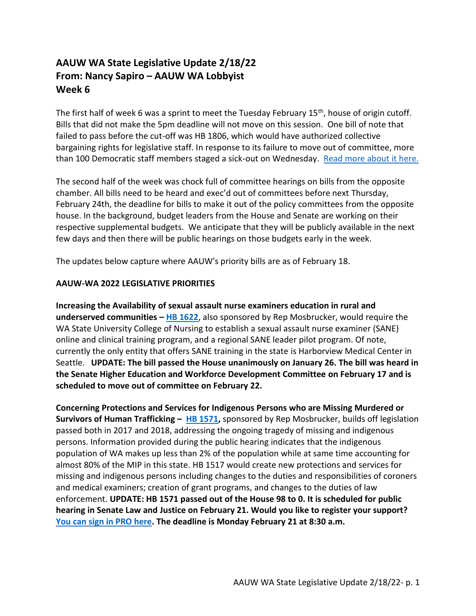## **AAUW WA State Legislative Update 2/18/22 From: Nancy Sapiro – AAUW WA Lobbyist Week 6**

The first half of week 6 was a sprint to meet the Tuesday February  $15<sup>th</sup>$ , house of origin cutoff. Bills that did not make the 5pm deadline will not move on this session. One bill of note that failed to pass before the cut-off was HB 1806, which would have authorized collective bargaining rights for legislative staff. In response to its failure to move out of committee, more than 100 Democratic staff members staged a sick-out on Wednesday. [Read more about it](https://www.kuow.org/stories/washington-legislative-staffers-stage-sick-out-after-unionization-bill-dies) here.

The second half of the week was chock full of committee hearings on bills from the opposite chamber. All bills need to be heard and exec'd out of committees before next Thursday, February 24th, the deadline for bills to make it out of the policy committees from the opposite house. In the background, budget leaders from the House and Senate are working on their respective supplemental budgets. We anticipate that they will be publicly available in the next few days and then there will be public hearings on those budgets early in the week.

The updates below capture where AAUW's priority bills are as of February 18.

## **AAUW-WA 2022 LEGISLATIVE PRIORITIES**

**Increasing the Availability of sexual assault nurse examiners education in rural and underserved communities – [HB 1622](https://app.leg.wa.gov/billsummary?BillNumber=1622&Initiative=false&Year=2021)**, also sponsored by Rep Mosbrucker, would require the WA State University College of Nursing to establish a sexual assault nurse examiner (SANE) online and clinical training program, and a regional SANE leader pilot program. Of note, currently the only entity that offers SANE training in the state is Harborview Medical Center in Seattle. **UPDATE: The bill passed the House unanimously on January 26. The bill was heard in the Senate Higher Education and Workforce Development Committee on February 17 and is scheduled to move out of committee on February 22.**

**Concerning Protections and Services for Indigenous Persons who are Missing Murdered or Survivors of Human Trafficking – [HB 1571,](https://app.leg.wa.gov/billsummary?BillNumber=1571&Year=2021&Initiative=false)** sponsored by Rep Mosbrucker, builds off legislation passed both in 2017 and 2018, addressing the ongoing tragedy of missing and indigenous persons. Information provided during the public hearing indicates that the indigenous population of WA makes up less than 2% of the population while at same time accounting for almost 80% of the MIP in this state. HB 1517 would create new protections and services for missing and indigenous persons including changes to the duties and responsibilities of coroners and medical examiners; creation of grant programs, and changes to the duties of law enforcement. **UPDATE: HB 1571 passed out of the House 98 to 0. It is scheduled for public hearing in Senate Law and Justice on February 21. Would you like to register your support? [You can sign in PRO here.](https://app.leg.wa.gov/csi/Testifier/Add?chamber=Senate&mId=29877&aId=146757&caId=19734&tId=3) The deadline is Monday February 21 at 8:30 a.m.**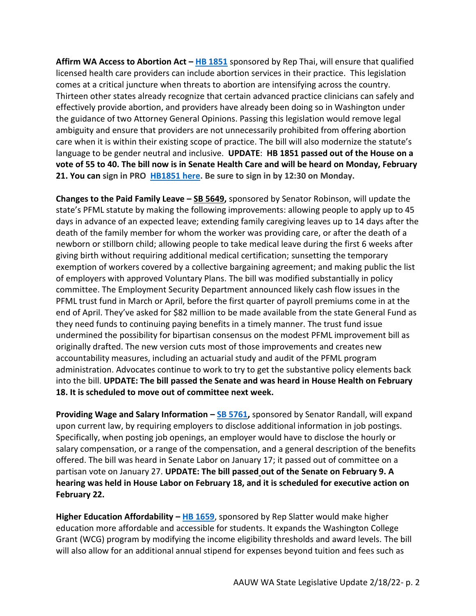**Affirm WA Access to Abortion Act – [HB 1851](https://app.leg.wa.gov/billsummary?BillNumber=1851&Initiative=false&Year=2021)** sponsored by Rep Thai, will ensure that qualified licensed health care providers can include abortion services in their practice. This legislation comes at a critical juncture when threats to abortion are intensifying across the country. Thirteen other states already recognize that certain advanced practice clinicians can safely and effectively provide abortion, and providers have already been doing so in Washington under the guidance of two Attorney General Opinions. Passing this legislation would remove legal ambiguity and ensure that providers are not unnecessarily prohibited from offering abortion care when it is within their existing scope of practice. The bill will also modernize the statute's language to be gender neutral and inclusive. **UPDATE**: **HB 1851 passed out of the House on a vote of 55 to 40. The bill now is in Senate Health Care and will be heard on Monday, February 21. You can sign in PRO [HB1851 here.](https://app.leg.wa.gov/csi/Testifier/Add?chamber=Senate&mId=29846&aId=147044&caId=19720&tId=3) Be sure to sign in by 12:30 on Monday.** 

**Changes to the Paid Family Leave – [SB 5649,](https://app.leg.wa.gov/billsummary?BillNumber=5649&Year=2021&Initiative=false)** sponsored by Senator Robinson, will update the state's PFML statute by making the following improvements: allowing people to apply up to 45 days in advance of an expected leave; extending family caregiving leaves up to 14 days after the death of the family member for whom the worker was providing care, or after the death of a newborn or stillborn child; allowing people to take medical leave during the first 6 weeks after giving birth without requiring additional medical certification; sunsetting the temporary exemption of workers covered by a collective bargaining agreement; and making public the list of employers with approved Voluntary Plans. The bill was modified substantially in policy committee. The Employment Security Department announced likely cash flow issues in the PFML trust fund in March or April, before the first quarter of payroll premiums come in at the end of April. They've asked for \$82 million to be made available from the state General Fund as they need funds to continuing paying benefits in a timely manner. The trust fund issue undermined the possibility for bipartisan consensus on the modest PFML improvement bill as originally drafted. The new version cuts most of those improvements and creates new accountability measures, including an actuarial study and audit of the PFML program administration. Advocates continue to work to try to get the substantive policy elements back into the bill. **UPDATE: The bill passed the Senate and was heard in House Health on February 18. It is scheduled to move out of committee next week.**

**Providing Wage and Salary Information – [SB 5761,](https://app.leg.wa.gov/billsummary?BillNumber=5761&Year=2021&Initiative=false)** sponsored by Senator Randall, will expand upon current law, by requiring employers to disclose additional information in job postings. Specifically, when posting job openings, an employer would have to disclose the hourly or salary compensation, or a range of the compensation, and a general description of the benefits offered. The bill was heard in Senate Labor on January 17; it passed out of committee on a partisan vote on January 27. **UPDATE: The bill passed out of the Senate on February 9. A hearing was held in House Labor on February 18, and it is scheduled for executive action on February 22.** 

**Higher Education Affordability – [HB 1659](https://app.leg.wa.gov/billsummary?billnumber=1659&year=2022)**, sponsored by Rep Slatter would make higher education more affordable and accessible for students. It expands the Washington College Grant (WCG) program by modifying the income eligibility thresholds and award levels. The bill will also allow for an additional annual stipend for expenses beyond tuition and fees such as